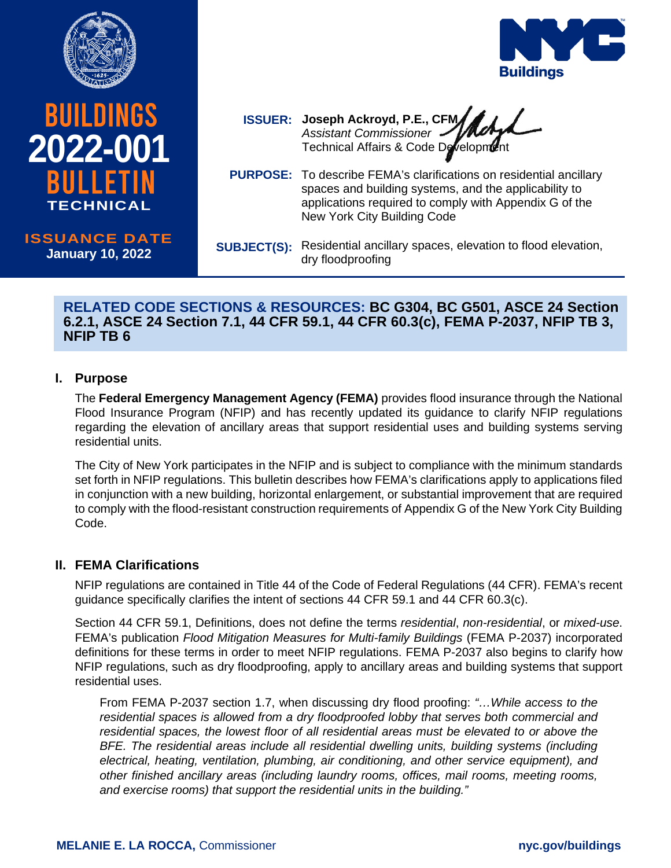



**2021-0XX 2022-001 TECHNICAL TECHNICAL**

**ISSUANCE DATE ISSUANCE DATE July XX, 2020 January 10, 2022**

**ISSUER: Joseph Ackroyd, P.E., CFM** *Assistant Commissioner* Technical Affairs & Code Development

- **PURPOSE:** To describe FEMA's clarifications on residential ancillary spaces and building systems, and the applicability to applications required to comply with Appendix G of the New York City Building Code
- **SUBJECT(S):** Residential ancillary spaces, elevation to flood elevation, dry floodproofing

### **RELATED CODE SECTIONS & RESOURCES: BC G304, BC G501, ASCE 24 Section 6.2.1, ASCE 24 Section 7.1, 44 CFR 59.1, 44 CFR 60.3(c), FEMA P-2037, NFIP TB 3, NFIP TB 6**

## **I. Purpose**

The **Federal Emergency Management Agency (FEMA)** provides flood insurance through the National Flood Insurance Program (NFIP) and has recently updated its guidance to clarify NFIP regulations regarding the elevation of ancillary areas that support residential uses and building systems serving residential units.

The City of New York participates in the NFIP and is subject to compliance with the minimum standards set forth in NFIP regulations. This bulletin describes how FEMA's clarifications apply to applications filed in conjunction with a new building, horizontal enlargement, or substantial improvement that are required to comply with the flood-resistant construction requirements of Appendix G of the New York City Building Code.

# **II. FEMA Clarifications**

NFIP regulations are contained in Title 44 of the Code of Federal Regulations (44 CFR). FEMA's recent guidance specifically clarifies the intent of sections 44 CFR 59.1 and 44 CFR 60.3(c).

Section 44 CFR 59.1, Definitions, does not define the terms *residential*, *non-residential*, or *mixed-use*. FEMA's publication *Flood Mitigation Measures for Multi-family Buildings* (FEMA P-2037) incorporated definitions for these terms in order to meet NFIP regulations. FEMA P-2037 also begins to clarify how NFIP regulations, such as dry floodproofing, apply to ancillary areas and building systems that support residential uses.

From FEMA P-2037 section 1.7, when discussing dry flood proofing: *"…While access to the residential spaces is allowed from a dry floodproofed lobby that serves both commercial and residential spaces, the lowest floor of all residential areas must be elevated to or above the BFE. The residential areas include all residential dwelling units, building systems (including electrical, heating, ventilation, plumbing, air conditioning, and other service equipment), and other finished ancillary areas (including laundry rooms, offices, mail rooms, meeting rooms, and exercise rooms) that support the residential units in the building."*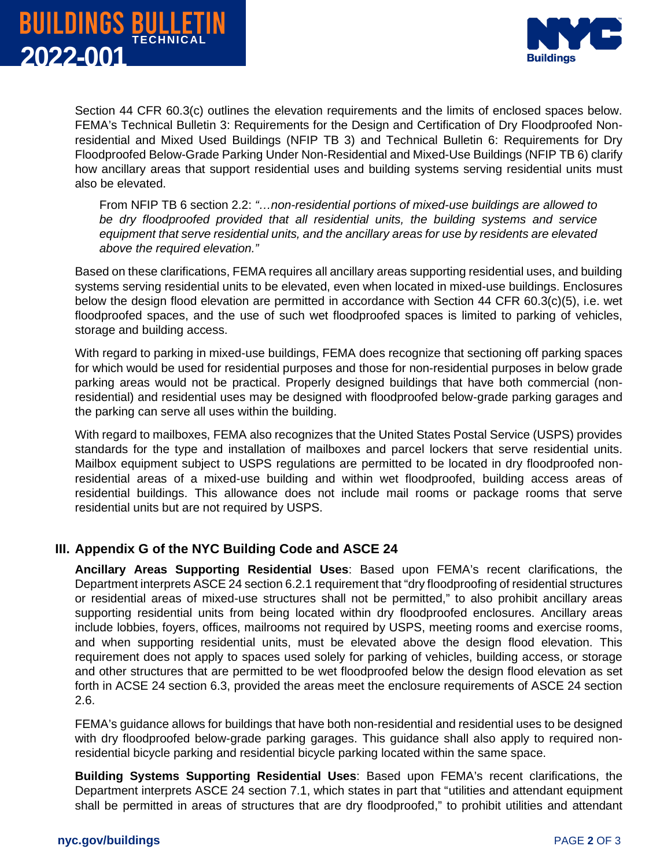



Section 44 CFR 60.3(c) outlines the elevation requirements and the limits of enclosed spaces below. FEMA's Technical Bulletin 3: Requirements for the Design and Certification of Dry Floodproofed Nonresidential and Mixed Used Buildings (NFIP TB 3) and Technical Bulletin 6: Requirements for Dry Floodproofed Below-Grade Parking Under Non-Residential and Mixed-Use Buildings (NFIP TB 6) clarify how ancillary areas that support residential uses and building systems serving residential units must also be elevated.

From NFIP TB 6 section 2.2: *"…non-residential portions of mixed-use buildings are allowed to be dry floodproofed provided that all residential units, the building systems and service equipment that serve residential units, and the ancillary areas for use by residents are elevated above the required elevation."*

Based on these clarifications, FEMA requires all ancillary areas supporting residential uses, and building systems serving residential units to be elevated, even when located in mixed-use buildings. Enclosures below the design flood elevation are permitted in accordance with Section 44 CFR 60.3(c)(5), i.e. wet floodproofed spaces, and the use of such wet floodproofed spaces is limited to parking of vehicles, storage and building access.

With regard to parking in mixed-use buildings, FEMA does recognize that sectioning off parking spaces for which would be used for residential purposes and those for non-residential purposes in below grade parking areas would not be practical. Properly designed buildings that have both commercial (nonresidential) and residential uses may be designed with floodproofed below-grade parking garages and the parking can serve all uses within the building.

With regard to mailboxes, FEMA also recognizes that the United States Postal Service (USPS) provides standards for the type and installation of mailboxes and parcel lockers that serve residential units. Mailbox equipment subject to USPS regulations are permitted to be located in dry floodproofed nonresidential areas of a mixed-use building and within wet floodproofed, building access areas of residential buildings. This allowance does not include mail rooms or package rooms that serve residential units but are not required by USPS.

### **III. Appendix G of the NYC Building Code and ASCE 24**

**Ancillary Areas Supporting Residential Uses**: Based upon FEMA's recent clarifications, the Department interprets ASCE 24 section 6.2.1 requirement that "dry floodproofing of residential structures or residential areas of mixed-use structures shall not be permitted," to also prohibit ancillary areas supporting residential units from being located within dry floodproofed enclosures. Ancillary areas include lobbies, foyers, offices, mailrooms not required by USPS, meeting rooms and exercise rooms, and when supporting residential units, must be elevated above the design flood elevation. This requirement does not apply to spaces used solely for parking of vehicles, building access, or storage and other structures that are permitted to be wet floodproofed below the design flood elevation as set forth in ACSE 24 section 6.3, provided the areas meet the enclosure requirements of ASCE 24 section 2.6.

FEMA's guidance allows for buildings that have both non-residential and residential uses to be designed with dry floodproofed below-grade parking garages. This guidance shall also apply to required nonresidential bicycle parking and residential bicycle parking located within the same space.

**Building Systems Supporting Residential Uses**: Based upon FEMA's recent clarifications, the Department interprets ASCE 24 section 7.1, which states in part that "utilities and attendant equipment shall be permitted in areas of structures that are dry floodproofed," to prohibit utilities and attendant